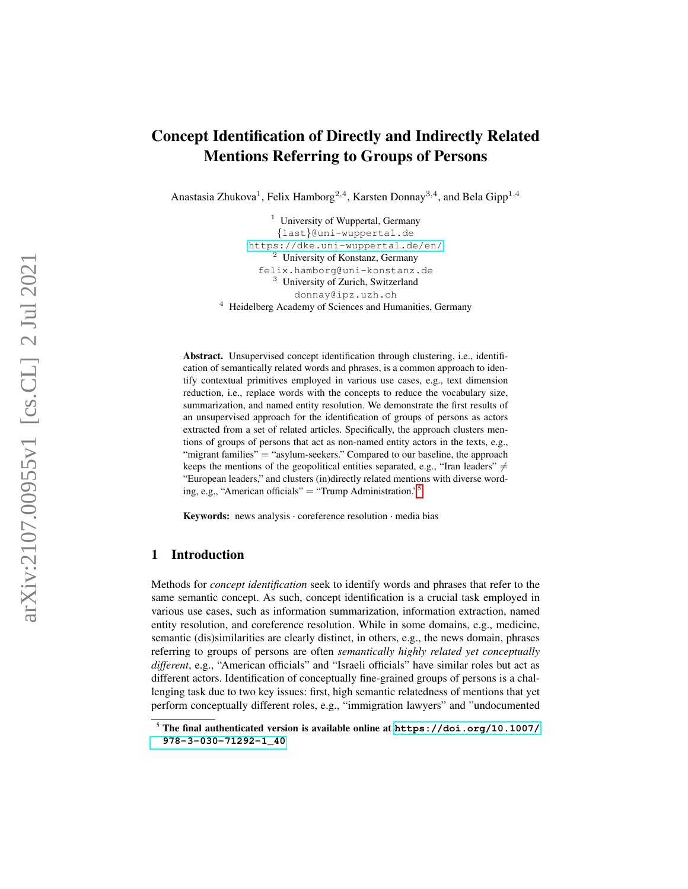# Concept Identification of Directly and Indirectly Related Mentions Referring to Groups of Persons

Anastasia Zhukova<sup>1</sup>, Felix Hamborg<sup>2,4</sup>, Karsten Donnay<sup>3,4</sup>, and Bela Gipp<sup>1,4</sup>

 $1$  University of Wuppertal, Germany {last}@uni-wuppertal.de <https://dke.uni-wuppertal.de/en/> <sup>2</sup> University of Konstanz, Germany felix.hamborg@uni-konstanz.de <sup>3</sup> University of Zurich, Switzerland donnay@ipz.uzh.ch <sup>4</sup> Heidelberg Academy of Sciences and Humanities, Germany

Abstract. Unsupervised concept identification through clustering, i.e., identification of semantically related words and phrases, is a common approach to identify contextual primitives employed in various use cases, e.g., text dimension reduction, i.e., replace words with the concepts to reduce the vocabulary size, summarization, and named entity resolution. We demonstrate the first results of an unsupervised approach for the identification of groups of persons as actors extracted from a set of related articles. Specifically, the approach clusters mentions of groups of persons that act as non-named entity actors in the texts, e.g., "migrant families" = "asylum-seekers." Compared to our baseline, the approach keeps the mentions of the geopolitical entities separated, e.g., "Iran leaders"  $\neq$ "European leaders," and clusters (in)directly related mentions with diverse wording, e.g., "American officials" = "Trump Administration."[5](#page-0-0)

Keywords: news analysis · coreference resolution · media bias

# 1 Introduction

Methods for *concept identification* seek to identify words and phrases that refer to the same semantic concept. As such, concept identification is a crucial task employed in various use cases, such as information summarization, information extraction, named entity resolution, and coreference resolution. While in some domains, e.g., medicine, semantic (dis)similarities are clearly distinct, in others, e.g., the news domain, phrases referring to groups of persons are often *semantically highly related yet conceptually different*, e.g., "American officials" and "Israeli officials" have similar roles but act as different actors. Identification of conceptually fine-grained groups of persons is a challenging task due to two key issues: first, high semantic relatedness of mentions that yet perform conceptually different roles, e.g., "immigration lawyers" and "undocumented

<span id="page-0-0"></span><sup>5</sup> The final authenticated version is available online at **[https://doi.org/10.1007/](https://doi.org/10.1007/978-3-030-71292-1_40) [978-3-030-71292-1\\_40](https://doi.org/10.1007/978-3-030-71292-1_40)**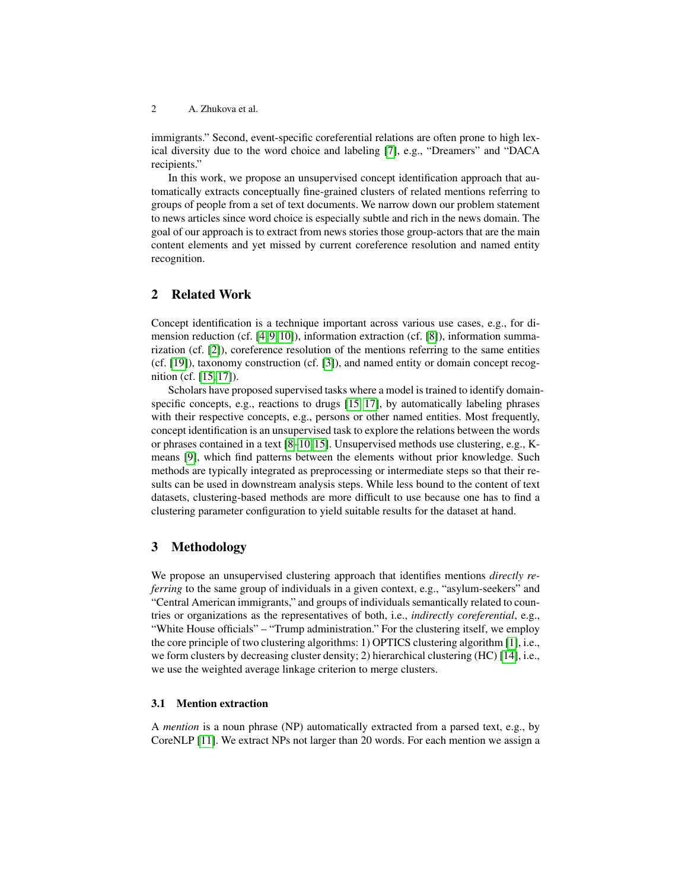2 A. Zhukova et al.

immigrants." Second, event-specific coreferential relations are often prone to high lexical diversity due to the word choice and labeling [\[7\]](#page-12-0), e.g., "Dreamers" and "DACA recipients."

In this work, we propose an unsupervised concept identification approach that automatically extracts conceptually fine-grained clusters of related mentions referring to groups of people from a set of text documents. We narrow down our problem statement to news articles since word choice is especially subtle and rich in the news domain. The goal of our approach is to extract from news stories those group-actors that are the main content elements and yet missed by current coreference resolution and named entity recognition.

## 2 Related Work

Concept identification is a technique important across various use cases, e.g., for dimension reduction (cf. [\[4,](#page-11-0) [9,](#page-12-1) [10\]](#page-12-2)), information extraction (cf. [\[8\]](#page-12-3)), information summarization (cf. [\[2\]](#page-11-1)), coreference resolution of the mentions referring to the same entities (cf. [\[19\]](#page-12-4)), taxonomy construction (cf. [\[3\]](#page-11-2)), and named entity or domain concept recognition (cf. [\[15,](#page-12-5) [17\]](#page-12-6)).

Scholars have proposed supervised tasks where a model is trained to identify domainspecific concepts, e.g., reactions to drugs [\[15,](#page-12-5) [17\]](#page-12-6), by automatically labeling phrases with their respective concepts, e.g., persons or other named entities. Most frequently, concept identification is an unsupervised task to explore the relations between the words or phrases contained in a text  $[8-10, 15]$  $[8-10, 15]$  $[8-10, 15]$ . Unsupervised methods use clustering, e.g., Kmeans [\[9\]](#page-12-1), which find patterns between the elements without prior knowledge. Such methods are typically integrated as preprocessing or intermediate steps so that their results can be used in downstream analysis steps. While less bound to the content of text datasets, clustering-based methods are more difficult to use because one has to find a clustering parameter configuration to yield suitable results for the dataset at hand.

### 3 Methodology

We propose an unsupervised clustering approach that identifies mentions *directly referring* to the same group of individuals in a given context, e.g., "asylum-seekers" and "Central American immigrants," and groups of individuals semantically related to countries or organizations as the representatives of both, i.e., *indirectly coreferential*, e.g., "White House officials" – "Trump administration." For the clustering itself, we employ the core principle of two clustering algorithms: 1) OPTICS clustering algorithm [\[1\]](#page-11-3), i.e., we form clusters by decreasing cluster density; 2) hierarchical clustering (HC) [\[14\]](#page-12-7), i.e., we use the weighted average linkage criterion to merge clusters.

#### <span id="page-1-0"></span>3.1 Mention extraction

A *mention* is a noun phrase (NP) automatically extracted from a parsed text, e.g., by CoreNLP [\[11\]](#page-12-8). We extract NPs not larger than 20 words. For each mention we assign a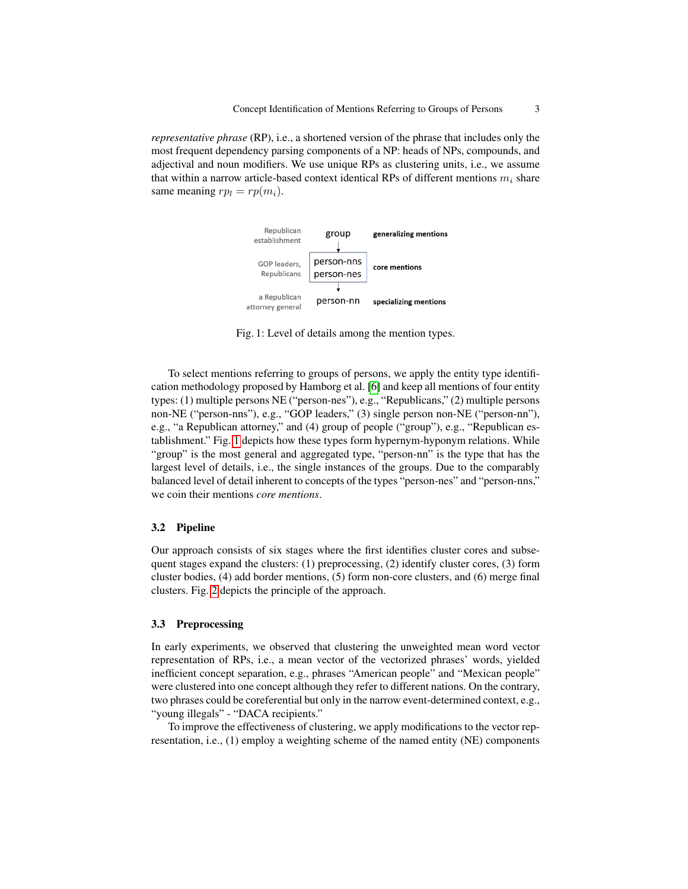<span id="page-2-0"></span>*representative phrase* (RP), i.e., a shortened version of the phrase that includes only the most frequent dependency parsing components of a NP: heads of NPs, compounds, and adjectival and noun modifiers. We use unique RPs as clustering units, i.e., we assume that within a narrow article-based context identical RPs of different mentions  $m_i$  share same meaning  $rp_l = rp(m_i)$ .



Fig. 1: Level of details among the mention types.

To select mentions referring to groups of persons, we apply the entity type identification methodology proposed by Hamborg et al. [\[6\]](#page-12-9) and keep all mentions of four entity types: (1) multiple persons NE ("person-nes"), e.g., "Republicans," (2) multiple persons non-NE ("person-nns"), e.g., "GOP leaders," (3) single person non-NE ("person-nn"), e.g., "a Republican attorney," and (4) group of people ("group"), e.g., "Republican establishment." Fig. [1](#page-2-0) depicts how these types form hypernym-hyponym relations. While "group" is the most general and aggregated type, "person-nn" is the type that has the largest level of details, i.e., the single instances of the groups. Due to the comparably balanced level of detail inherent to concepts of the types "person-nes" and "person-nns," we coin their mentions *core mentions*.

#### 3.2 Pipeline

Our approach consists of six stages where the first identifies cluster cores and subsequent stages expand the clusters: (1) preprocessing, (2) identify cluster cores, (3) form cluster bodies, (4) add border mentions, (5) form non-core clusters, and (6) merge final clusters. Fig. [2](#page-3-0) depicts the principle of the approach.

#### <span id="page-2-1"></span>3.3 Preprocessing

In early experiments, we observed that clustering the unweighted mean word vector representation of RPs, i.e., a mean vector of the vectorized phrases' words, yielded inefficient concept separation, e.g., phrases "American people" and "Mexican people" were clustered into one concept although they refer to different nations. On the contrary, two phrases could be coreferential but only in the narrow event-determined context, e.g., "young illegals" - "DACA recipients."

To improve the effectiveness of clustering, we apply modifications to the vector representation, i.e., (1) employ a weighting scheme of the named entity (NE) components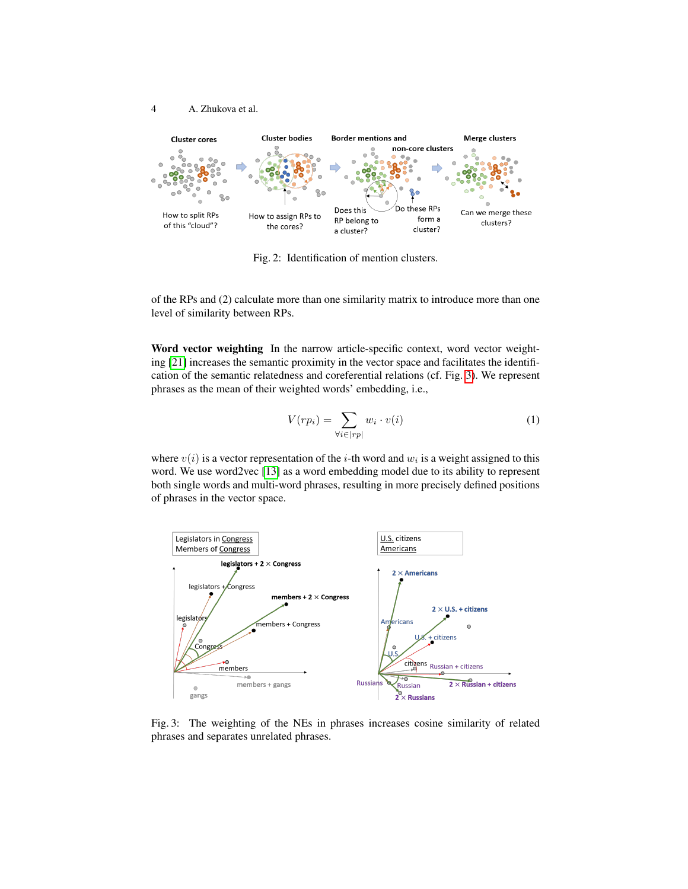

<span id="page-3-0"></span>4 A. Zhukova et al.

Fig. 2: Identification of mention clusters.

of the RPs and (2) calculate more than one similarity matrix to introduce more than one level of similarity between RPs.

Word vector weighting In the narrow article-specific context, word vector weighting [\[21\]](#page-12-10) increases the semantic proximity in the vector space and facilitates the identification of the semantic relatedness and coreferential relations (cf. Fig. [3\)](#page-3-1). We represent phrases as the mean of their weighted words' embedding, i.e.,

<span id="page-3-2"></span>
$$
V(r p_i) = \sum_{\forall i \in |rp|} w_i \cdot v(i)
$$
 (1)

where  $v(i)$  is a vector representation of the *i*-th word and  $w_i$  is a weight assigned to this word. We use word2vec [\[13\]](#page-12-11) as a word embedding model due to its ability to represent both single words and multi-word phrases, resulting in more precisely defined positions of phrases in the vector space.

<span id="page-3-1"></span>

Fig. 3: The weighting of the NEs in phrases increases cosine similarity of related phrases and separates unrelated phrases.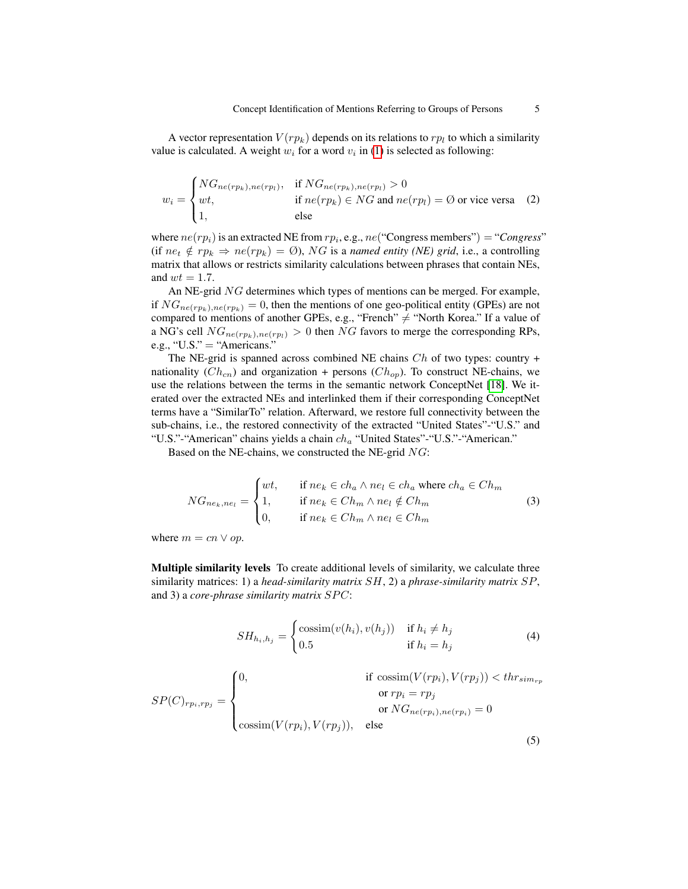A vector representation  $V(r p_k)$  depends on its relations to  $rp_l$  to which a similarity value is calculated. A weight  $w_i$  for a word  $v_i$  in [\(1\)](#page-3-2) is selected as following:

$$
w_i = \begin{cases} NG_{ne(rp_k),ne(rp_l)}, & \text{if } NG_{ne(rp_k),ne(rp_l)} > 0\\ wt, & \text{if } ne(rp_k) \in NG \text{ and } ne(rp_l) = \emptyset \text{ or vice versa} \\ 1, & \text{else} \end{cases} \tag{2}
$$

where  $ne(rp_i)$  is an extracted NE from  $rp_i$ , e.g.,  $ne("Congress"$  members") = "*Congress*" (if  $ne_t \notin rp_k \Rightarrow ne(rp_k) = \emptyset$ ), NG is a *named entity (NE) grid*, i.e., a controlling matrix that allows or restricts similarity calculations between phrases that contain NEs, and  $wt = 1.7$ .

An NE-grid NG determines which types of mentions can be merged. For example, if  $NG_{ne(rp_k),ne(rp_k)} = 0$ , then the mentions of one geo-political entity (GPEs) are not compared to mentions of another GPEs, e.g., "French"  $\neq$  "North Korea." If a value of a NG's cell  $NG_{ne(rp_k),ne(rp_l)} > 0$  then NG favors to merge the corresponding RPs, e.g., "U.S." = "Americans."

The NE-grid is spanned across combined NE chains  $Ch$  of two types: country + nationality  $(Ch_{cn})$  and organization + persons  $(Ch_{op})$ . To construct NE-chains, we use the relations between the terms in the semantic network ConceptNet [\[18\]](#page-12-12). We iterated over the extracted NEs and interlinked them if their corresponding ConceptNet terms have a "SimilarTo" relation. Afterward, we restore full connectivity between the sub-chains, i.e., the restored connectivity of the extracted "United States"-"U.S." and "U.S."-"American" chains yields a chain  $ch_a$  "United States"-"U.S."-"American."

Based on the NE-chains, we constructed the NE-grid NG:

$$
NG_{ne_k,ne_l} = \begin{cases} wt, & \text{if } ne_k \in ch_a \land ne_l \in ch_a \text{ where } ch_a \in Ch_m \\ 1, & \text{if } ne_k \in Ch_m \land ne_l \notin Ch_m \\ 0, & \text{if } ne_k \in Ch_m \land ne_l \in Ch_m \end{cases} \tag{3}
$$

where  $m = cn \vee op$ .

Multiple similarity levels To create additional levels of similarity, we calculate three similarity matrices: 1) a *head-similarity matrix* SH, 2) a *phrase-similarity matrix* SP, and 3) a *core-phrase similarity matrix*  $SPC$ :

$$
SH_{h_i, h_j} = \begin{cases} \text{cossim}(v(h_i), v(h_j)) & \text{if } h_i \neq h_j\\ 0.5 & \text{if } h_i = h_j \end{cases}
$$
 (4)

$$
SP(C)_{rp_i, rp_j} = \begin{cases} 0, & \text{if } \operatorname{cossim}(V(rp_i), V(rp_j)) < thr_{sim_{rp}} \\ & \text{or } rp_i = rp_j \\ \operatorname{cossim}(V(rp_i), V(rp_j)), & \text{else} \end{cases}
$$

(5)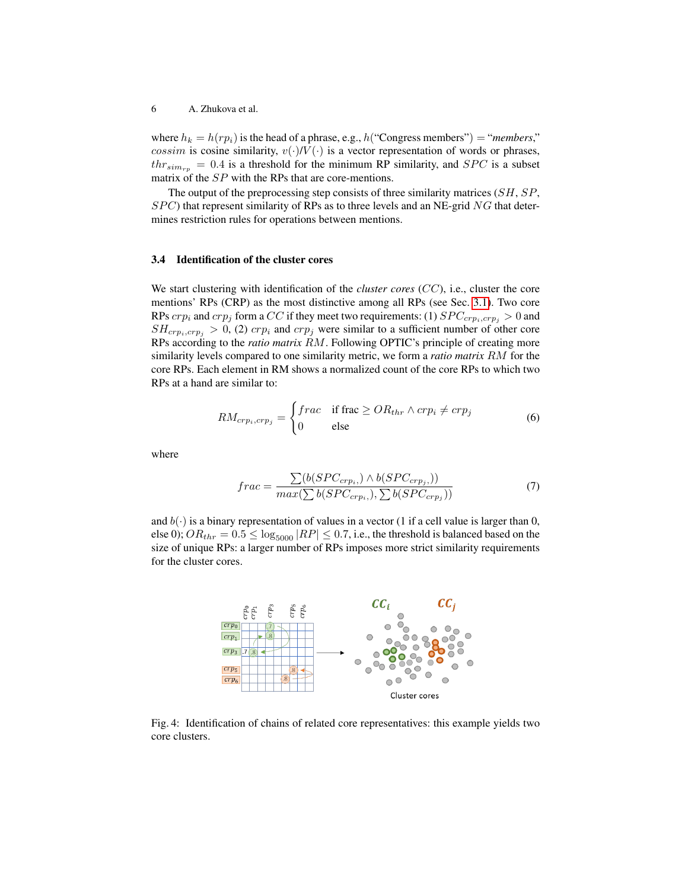where  $h_k = h(r p_i)$  is the head of a phrase, e.g.,  $h("Congress members") = "members,"$ cossim is cosine similarity,  $v(\cdot) / V(\cdot)$  is a vector representation of words or phrases,  $thr_{sim_{rp}} = 0.4$  is a threshold for the minimum RP similarity, and  $SPC$  is a subset matrix of the SP with the RPs that are core-mentions.

The output of the preprocessing step consists of three similarity matrices (SH, SP,  $SPC$ ) that represent similarity of RPs as to three levels and an NE-grid NG that determines restriction rules for operations between mentions.

#### 3.4 Identification of the cluster cores

We start clustering with identification of the *cluster cores* (CC), i.e., cluster the core mentions' RPs (CRP) as the most distinctive among all RPs (see Sec. [3.1\)](#page-1-0). Two core RPs  $crp_i$  and  $crp_j$  form a CC if they meet two requirements: (1)  $SPC_{crp_i,crp_j} > 0$  and  $SH_{crp_i,crp_j} > 0$ , (2)  $crp_i$  and  $crp_j$  were similar to a sufficient number of other core RPs according to the *ratio matrix* RM. Following OPTIC's principle of creating more similarity levels compared to one similarity metric, we form a *ratio matrix* RM for the core RPs. Each element in RM shows a normalized count of the core RPs to which two RPs at a hand are similar to:

$$
RM_{crp_i,crp_j} = \begin{cases} frac & \text{if frac} \ge OR_{thr} \land crp_i \ne crp_j \\ 0 & \text{else} \end{cases}
$$
 (6)

where

$$
frac = \frac{\sum (b(SPC_{crp_i}) \land b(SPC_{crp_j}))}{max(\sum b(SPC_{crp_i}), \sum b(SPC_{crp_j}))}
$$
(7)

and  $b(\cdot)$  is a binary representation of values in a vector (1 if a cell value is larger than 0, else 0);  $OR_{thr} = 0.5 \le \log_{5000} |RP| \le 0.7$ , i.e., the threshold is balanced based on the size of unique RPs: a larger number of RPs imposes more strict similarity requirements for the cluster cores.

<span id="page-5-0"></span>

Fig. 4: Identification of chains of related core representatives: this example yields two core clusters.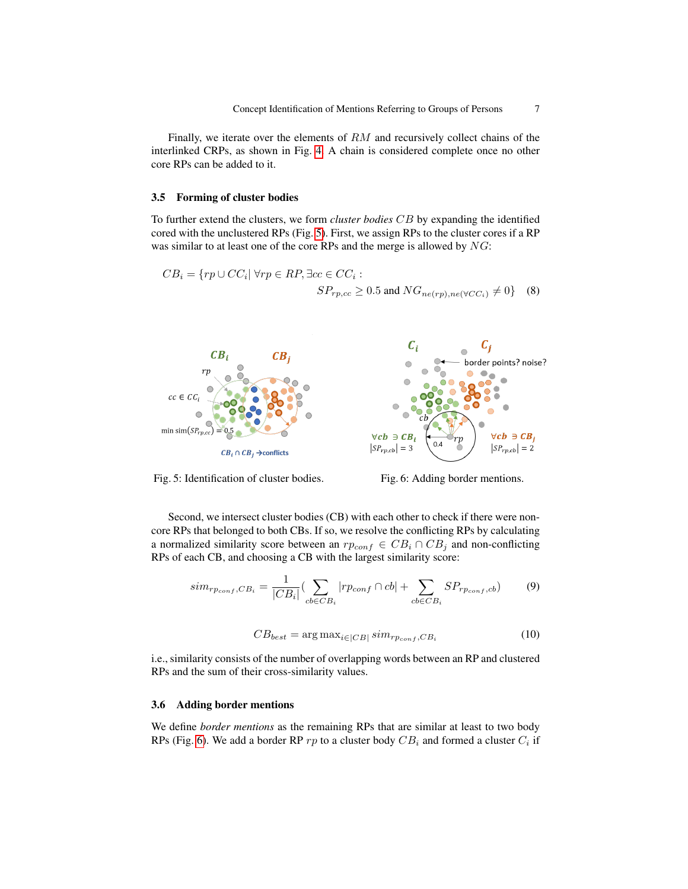Finally, we iterate over the elements of RM and recursively collect chains of the interlinked CRPs, as shown in Fig. [4.](#page-5-0) A chain is considered complete once no other core RPs can be added to it.

#### 3.5 Forming of cluster bodies

To further extend the clusters, we form *cluster bodies* CB by expanding the identified cored with the unclustered RPs (Fig. [5\)](#page-6-0). First, we assign RPs to the cluster cores if a RP was similar to at least one of the core RPs and the merge is allowed by NG:

$$
CB_i = \{ rp \cup CC_i | \forall rp \in RP, \exists cc \in CC_i : S_{rp, cc} \ge 0.5 \text{ and } NG_{ne(rp),ne(\forall CC_i)} \ne 0 \} \quad (8)
$$

<span id="page-6-0"></span>

Fig. 5: Identification of cluster bodies. Fig. 6: Adding border mentions.

Second, we intersect cluster bodies (CB) with each other to check if there were noncore RPs that belonged to both CBs. If so, we resolve the conflicting RPs by calculating a normalized similarity score between an  $rp_{conf} \in CB_i \cap CB_j$  and non-conflicting RPs of each CB, and choosing a CB with the largest similarity score:

$$
sim_{r_{Pconf},CB_i} = \frac{1}{|CB_i|} \left( \sum_{cb \in CB_i} |rp_{conf} \cap cb| + \sum_{cb \in CB_i} SP_{r_{Pconf},cb} \right) \tag{9}
$$

$$
CB_{best} = \arg \max_{i \in |CB|} sim_{r_{Pconf}, CB_i}
$$
 (10)

i.e., similarity consists of the number of overlapping words between an RP and clustered RPs and the sum of their cross-similarity values.

#### 3.6 Adding border mentions

We define *border mentions* as the remaining RPs that are similar at least to two body RPs (Fig. [6\)](#page-6-0). We add a border RP  $rp$  to a cluster body  $CB_i$  and formed a cluster  $C_i$  if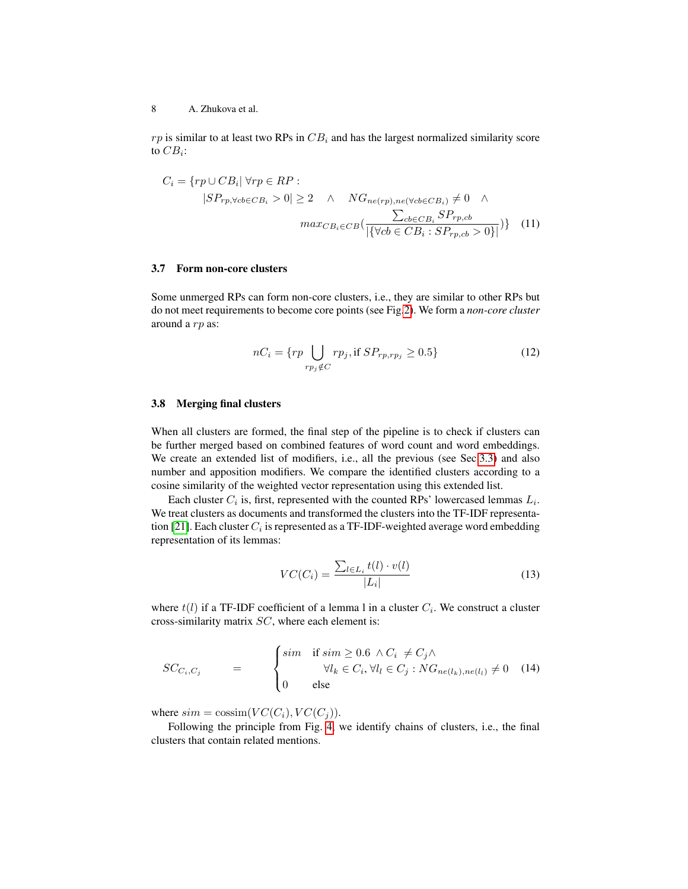$rp$  is similar to at least two RPs in  $CB_i$  and has the largest normalized similarity score to  $CB_i$ :

$$
C_{i} = \{rp \cup CB_{i} | \forall rp \in RP :
$$
  
\n
$$
|SP_{rp, \forall cb \in CB_{i}} > 0| \ge 2 \quad \land \quad NG_{ne(rp), ne(\forall cb \in CB_{i})} \ne 0 \quad \land
$$
  
\n
$$
max_{CB_{i} \in CB} \left( \frac{\sum_{cb \in CB_{i}} SP_{rp, cb}}{|\{\forall cb \in CB_{i} : SP_{rp, cb} > 0\}|} \right)
$$
(11)

#### 3.7 Form non-core clusters

Some unmerged RPs can form non-core clusters, i.e., they are similar to other RPs but do not meet requirements to become core points (see Fig[.2\)](#page-3-0). We form a *non-core cluster* around a rp as:

$$
nC_i = \{rp \bigcup_{rp_j \notin C} rp_j, \text{if } SP_{rp, rp_j} \ge 0.5\} \tag{12}
$$

#### 3.8 Merging final clusters

When all clusters are formed, the final step of the pipeline is to check if clusters can be further merged based on combined features of word count and word embeddings. We create an extended list of modifiers, i.e., all the previous (see Sec[.3.3\)](#page-2-1) and also number and apposition modifiers. We compare the identified clusters according to a cosine similarity of the weighted vector representation using this extended list.

Each cluster  $C_i$  is, first, represented with the counted RPs' lowercased lemmas  $L_i$ . We treat clusters as documents and transformed the clusters into the TF-IDF representa-tion [\[21\]](#page-12-10). Each cluster  $C_i$  is represented as a TF-IDF-weighted average word embedding representation of its lemmas:

$$
VC(C_i) = \frac{\sum_{l \in L_i} t(l) \cdot v(l)}{|L_i|} \tag{13}
$$

where  $t(l)$  if a TF-IDF coefficient of a lemma l in a cluster  $C_i$ . We construct a cluster cross-similarity matrix SC, where each element is:

$$
SC_{C_i, C_j} = \begin{cases} \n\begin{cases} \n\begin{aligned} \n\begin{aligned} \n\begin{aligned} \n\begin{aligned} \n\begin{aligned} \n\begin{aligned} \n\begin{aligned} \n\begin{aligned} \n\begin{aligned} \n\begin{aligned} \n\begin{aligned} \n\begin{aligned} \n\begin{aligned} \n\begin{aligned} \n\begin{aligned} \n\begin{aligned} \n\begin{aligned} \n\begin{aligned} \n\begin{aligned} \n\begin{aligned} \n\end{aligned} \\
\n\end{aligned}\n\end{aligned}\n\end{aligned}\n\end{aligned}\n\end{cases} & \n\end{aligned}\n\end{cases} & \begin{aligned} \n\begin{aligned} \n\begin{aligned} \n\begin{aligned} \n\begin{aligned} \n\begin{aligned} \n\begin{aligned} \n\begin{aligned} \n\begin{aligned} \n\begin{aligned} \n\begin{aligned} \n\begin{aligned} \n\begin{aligned} \n\begin{aligned} \n\begin{aligned} \n\end{aligned} \\
\n\end{aligned}\n\end{aligned}\n\end{aligned}\n\end{aligned}\n\end{cases} & \n\end{cases} & \n\begin{aligned} \n\begin{aligned} \n\begin{aligned} \n\begin{aligned} \n\begin{aligned} \n\begin{aligned} \n\begin{aligned} \n\begin{aligned} \n\begin{aligned} \n\begin{aligned} \n\begin{aligned} \n\begin{aligned} \n\begin{aligned} \n\begin{aligned} \n\end{aligned} \\
\n\end{aligned}\n\end{aligned}\n\end{aligned}\n\end{aligned}\n\end{cases} & \n\end{cases} & \n\begin{aligned} \n\begin{aligned} \n\begin{aligned} \n\begin{aligned} \n\begin{aligned} \n\begin{aligned} \n\begin{aligned} \n\begin{aligned} \n\begin{aligned} \n\begin{aligned} \n\begin{aligned} \n\begin{aligned} \n\begin{aligned} \n\begin{aligned} \n\end{aligned} \\
\n\end{aligned}\n\end{aligned}\n\end{aligned}\n\end{aligned}\n\end{cases} & \n\end{aligned} & \n\begin{aligned} \n\begin{aligned} \n\begin{aligned} \n\begin{aligned} \n\begin{aligned} \n\begin{aligned} \n\begin{aligned} \n\begin{aligned} \n\begin{aligned} \n\begin{aligned} \n\begin{aligned} \n\begin{aligned} \n\begin{aligned} \n\begin{aligned} \n\
$$

where  $sim = \cos \text{sim}(VC(C_i), VC(C_j)).$ 

Following the principle from Fig. [4,](#page-5-0) we identify chains of clusters, i.e., the final clusters that contain related mentions.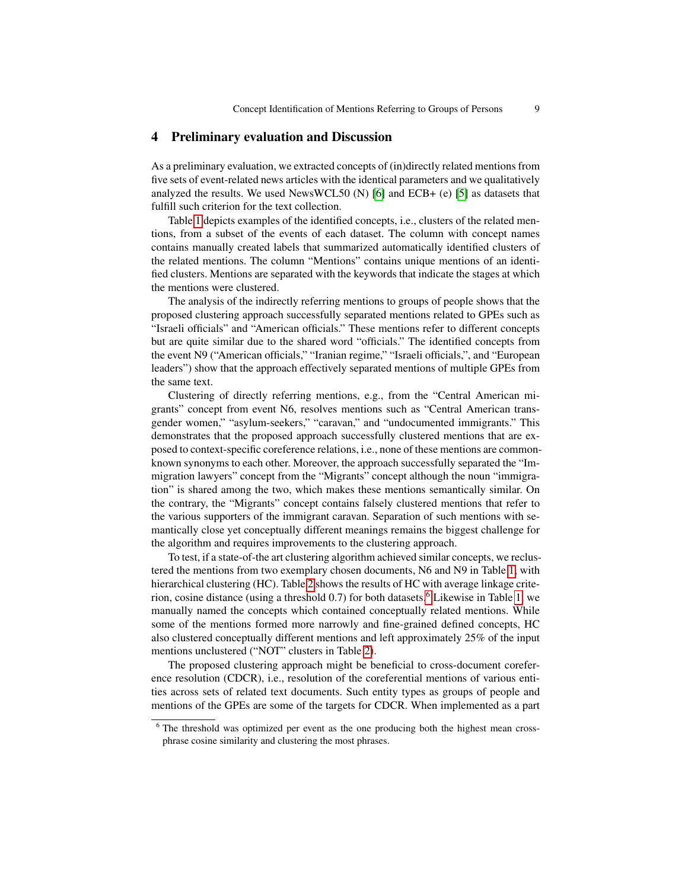## 4 Preliminary evaluation and Discussion

As a preliminary evaluation, we extracted concepts of (in)directly related mentions from five sets of event-related news articles with the identical parameters and we qualitatively analyzed the results. We used NewsWCL50 (N) [\[6\]](#page-12-9) and ECB+ (e) [\[5\]](#page-11-4) as datasets that fulfill such criterion for the text collection.

Table [1](#page-9-0) depicts examples of the identified concepts, i.e., clusters of the related mentions, from a subset of the events of each dataset. The column with concept names contains manually created labels that summarized automatically identified clusters of the related mentions. The column "Mentions" contains unique mentions of an identified clusters. Mentions are separated with the keywords that indicate the stages at which the mentions were clustered.

The analysis of the indirectly referring mentions to groups of people shows that the proposed clustering approach successfully separated mentions related to GPEs such as "Israeli officials" and "American officials." These mentions refer to different concepts but are quite similar due to the shared word "officials." The identified concepts from the event N9 ("American officials," "Iranian regime," "Israeli officials,", and "European leaders") show that the approach effectively separated mentions of multiple GPEs from the same text.

Clustering of directly referring mentions, e.g., from the "Central American migrants" concept from event N6, resolves mentions such as "Central American transgender women," "asylum-seekers," "caravan," and "undocumented immigrants." This demonstrates that the proposed approach successfully clustered mentions that are exposed to context-specific coreference relations, i.e., none of these mentions are commonknown synonyms to each other. Moreover, the approach successfully separated the "Immigration lawyers" concept from the "Migrants" concept although the noun "immigration" is shared among the two, which makes these mentions semantically similar. On the contrary, the "Migrants" concept contains falsely clustered mentions that refer to the various supporters of the immigrant caravan. Separation of such mentions with semantically close yet conceptually different meanings remains the biggest challenge for the algorithm and requires improvements to the clustering approach.

To test, if a state-of-the art clustering algorithm achieved similar concepts, we reclustered the mentions from two exemplary chosen documents, N6 and N9 in Table [1,](#page-9-0) with hierarchical clustering (HC). Table [2](#page-10-0) shows the results of HC with average linkage criterion, cosine distance (using a threshold  $0.7$ ) for both datasets.<sup>[6](#page-8-0)</sup> Likewise in Table [1,](#page-9-0) we manually named the concepts which contained conceptually related mentions. While some of the mentions formed more narrowly and fine-grained defined concepts, HC also clustered conceptually different mentions and left approximately 25% of the input mentions unclustered ("NOT" clusters in Table [2\)](#page-10-0).

The proposed clustering approach might be beneficial to cross-document coreference resolution (CDCR), i.e., resolution of the coreferential mentions of various entities across sets of related text documents. Such entity types as groups of people and mentions of the GPEs are some of the targets for CDCR. When implemented as a part

<span id="page-8-0"></span> $6$  The threshold was optimized per event as the one producing both the highest mean crossphrase cosine similarity and clustering the most phrases.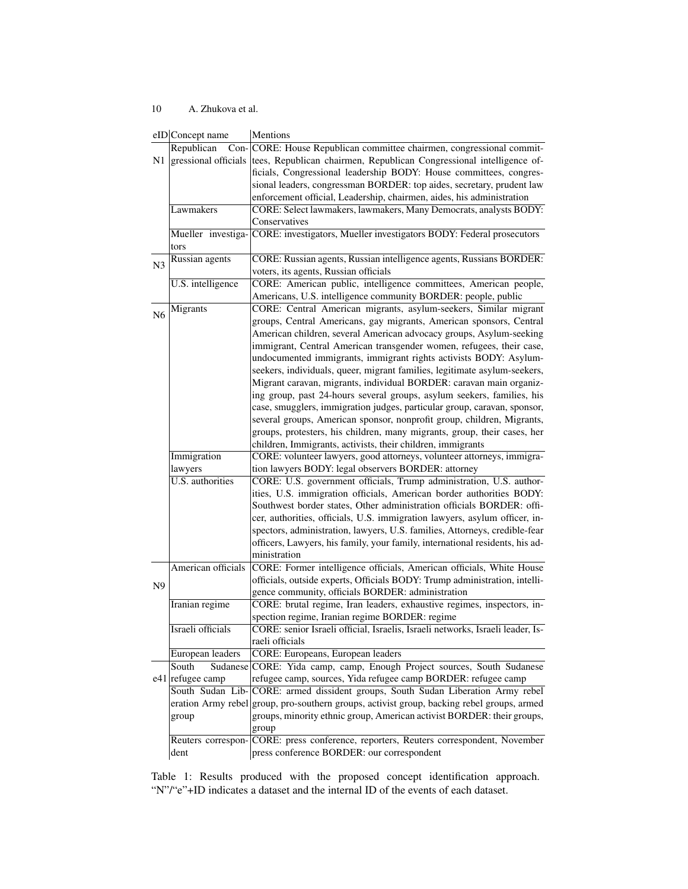## 10 A. Zhukova et al.

<span id="page-9-0"></span>

|                | eID Concept name            | Mentions                                                                                |
|----------------|-----------------------------|-----------------------------------------------------------------------------------------|
|                | Republican                  | Con- CORE: House Republican committee chairmen, congressional commit-                   |
| N1             | gressional officials        | tees, Republican chairmen, Republican Congressional intelligence of-                    |
|                |                             | ficials, Congressional leadership BODY: House committees, congres-                      |
|                |                             | sional leaders, congressman BORDER: top aides, secretary, prudent law                   |
|                |                             | enforcement official, Leadership, chairmen, aides, his administration                   |
|                | Lawmakers                   | CORE: Select lawmakers, lawmakers, Many Democrats, analysts BODY:                       |
|                |                             | Conservatives                                                                           |
|                |                             | Mueller investiga- CORE: investigators, Mueller investigators BODY: Federal prosecutors |
|                | tors                        |                                                                                         |
|                | Russian agents              | CORE: Russian agents, Russian intelligence agents, Russians BORDER:                     |
| N3             |                             | voters, its agents, Russian officials                                                   |
|                | U.S. intelligence           | CORE: American public, intelligence committees, American people,                        |
|                |                             | Americans, U.S. intelligence community BORDER: people, public                           |
|                | Migrants                    | CORE: Central American migrants, asylum-seekers, Similar migrant                        |
| N <sub>6</sub> |                             | groups, Central Americans, gay migrants, American sponsors, Central                     |
|                |                             | American children, several American advocacy groups, Asylum-seeking                     |
|                |                             | immigrant, Central American transgender women, refugees, their case,                    |
|                |                             | undocumented immigrants, immigrant rights activists BODY: Asylum-                       |
|                |                             | seekers, individuals, queer, migrant families, legitimate asylum-seekers,               |
|                |                             | Migrant caravan, migrants, individual BORDER: caravan main organiz-                     |
|                |                             | ing group, past 24-hours several groups, asylum seekers, families, his                  |
|                |                             | case, smugglers, immigration judges, particular group, caravan, sponsor,                |
|                |                             | several groups, American sponsor, nonprofit group, children, Migrants,                  |
|                |                             | groups, protesters, his children, many migrants, group, their cases, her                |
|                |                             | children, Immigrants, activists, their children, immigrants                             |
|                | Immigration                 | CORE: volunteer lawyers, good attorneys, volunteer attorneys, immigra-                  |
|                | lawyers                     | tion lawyers BODY: legal observers BORDER: attorney                                     |
|                | <b>U.S.</b> authorities     | CORE: U.S. government officials, Trump administration, U.S. author-                     |
|                |                             | ities, U.S. immigration officials, American border authorities BODY:                    |
|                |                             | Southwest border states, Other administration officials BORDER: offi-                   |
|                |                             | cer, authorities, officials, U.S. immigration lawyers, asylum officer, in-              |
|                |                             | spectors, administration, lawyers, U.S. families, Attorneys, credible-fear              |
|                |                             | officers, Lawyers, his family, your family, international residents, his ad-            |
|                |                             | ministration                                                                            |
|                | American officials          | CORE: Former intelligence officials, American officials, White House                    |
|                |                             | officials, outside experts, Officials BODY: Trump administration, intelli-              |
| N <sub>9</sub> |                             | gence community, officials BORDER: administration                                       |
|                | Iranian regime              | CORE: brutal regime, Iran leaders, exhaustive regimes, inspectors, in-                  |
|                |                             | spection regime, Iranian regime BORDER: regime                                          |
|                | Israeli officials           | CORE: senior Israeli official, Israelis, Israeli networks, Israeli leader, Is-          |
|                |                             | raeli officials                                                                         |
|                | European leaders            | <b>CORE: Europeans, European leaders</b>                                                |
|                | South                       | Sudanese CORE: Yida camp, camp, Enough Project sources, South Sudanese                  |
|                | e41 refugee camp            | refugee camp, sources, Yida refugee camp BORDER: refugee camp                           |
|                | South Sudan Lib-            | CORE: armed dissident groups, South Sudan Liberation Army rebel                         |
|                |                             | group, pro-southern groups, activist group, backing rebel groups, armed                 |
|                | eration Army rebel<br>group | groups, minority ethnic group, American activist BORDER: their groups,                  |
|                |                             |                                                                                         |
|                | Reuters correspon-          | group<br>CORE: press conference, reporters, Reuters correspondent, November             |
|                | dent                        | press conference BORDER: our correspondent                                              |
|                |                             |                                                                                         |

Table 1: Results produced with the proposed concept identification approach. "N"/"e"+ID indicates a dataset and the internal ID of the events of each dataset.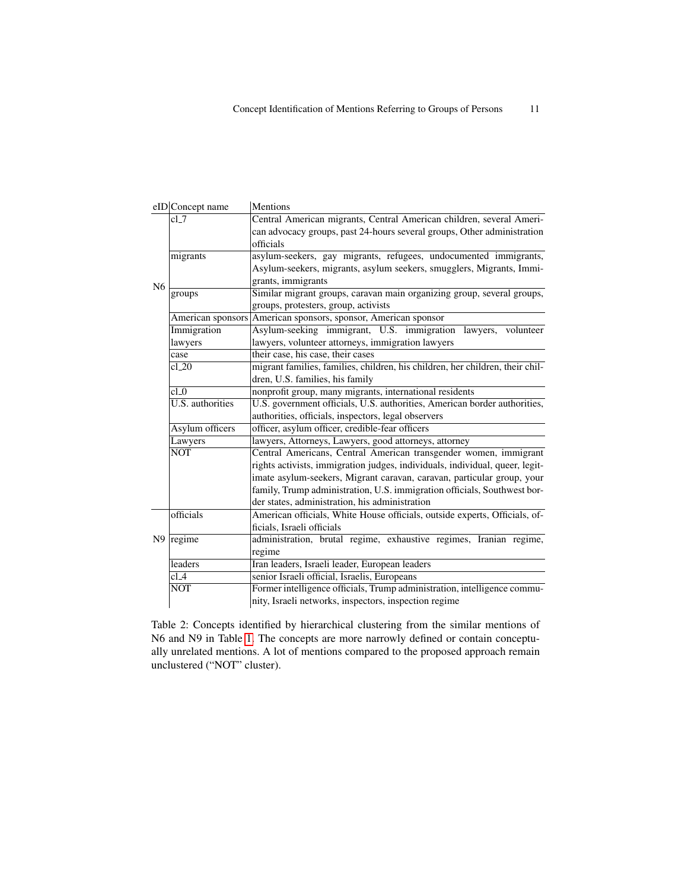<span id="page-10-0"></span>

|                | eID Concept name        | Mentions                                                                      |
|----------------|-------------------------|-------------------------------------------------------------------------------|
| N <sub>6</sub> | $cl_7$                  | Central American migrants, Central American children, several Ameri-          |
|                |                         | can advocacy groups, past 24-hours several groups, Other administration       |
|                |                         | officials                                                                     |
|                | migrants                | asylum-seekers, gay migrants, refugees, undocumented immigrants,              |
|                |                         | Asylum-seekers, migrants, asylum seekers, smugglers, Migrants, Immi-          |
|                |                         | grants, immigrants                                                            |
|                | groups                  | Similar migrant groups, caravan main organizing group, several groups,        |
|                |                         | groups, protesters, group, activists                                          |
|                |                         | American sponsors American sponsors, sponsor, American sponsor                |
|                | Immigration             | Asylum-seeking immigrant, U.S. immigration lawyers, volunteer                 |
|                | lawyers                 | lawyers, volunteer attorneys, immigration lawyers                             |
|                | case                    | their case, his case, their cases                                             |
|                | $cl_2$                  | migrant families, families, children, his children, her children, their chil- |
|                |                         | dren, U.S. families, his family                                               |
|                | cl <sub>0</sub>         | nonprofit group, many migrants, international residents                       |
|                | <b>U.S.</b> authorities | U.S. government officials, U.S. authorities, American border authorities,     |
|                |                         | authorities, officials, inspectors, legal observers                           |
|                | Asylum officers         | officer, asylum officer, credible-fear officers                               |
|                | Lawyers                 | lawyers, Attorneys, Lawyers, good attorneys, attorney                         |
|                | <b>NOT</b>              | Central Americans, Central American transgender women, immigrant              |
|                |                         | rights activists, immigration judges, individuals, individual, queer, legit-  |
|                |                         | imate asylum-seekers, Migrant caravan, caravan, particular group, your        |
|                |                         | family, Trump administration, U.S. immigration officials, Southwest bor-      |
|                |                         | der states, administration, his administration                                |
|                | officials               | American officials, White House officials, outside experts, Officials, of-    |
|                |                         | ficials, Israeli officials                                                    |
|                | $N9$ regime             | administration, brutal regime, exhaustive regimes, Iranian regime,            |
|                |                         | regime                                                                        |
|                | leaders                 | Iran leaders, Israeli leader, European leaders                                |
|                | $cl_4$                  | senior Israeli official, Israelis, Europeans                                  |
|                | <b>NOT</b>              | Former intelligence officials, Trump administration, intelligence commu-      |
|                |                         | nity, Israeli networks, inspectors, inspection regime                         |

Table 2: Concepts identified by hierarchical clustering from the similar mentions of N6 and N9 in Table [1.](#page-9-0) The concepts are more narrowly defined or contain conceptually unrelated mentions. A lot of mentions compared to the proposed approach remain unclustered ("NOT" cluster).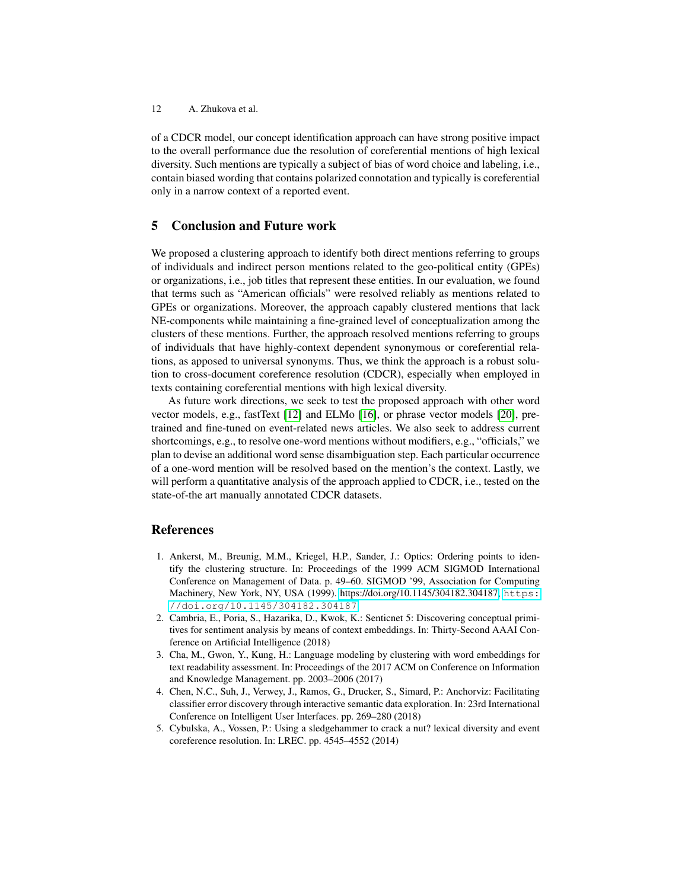of a CDCR model, our concept identification approach can have strong positive impact to the overall performance due the resolution of coreferential mentions of high lexical diversity. Such mentions are typically a subject of bias of word choice and labeling, i.e., contain biased wording that contains polarized connotation and typically is coreferential only in a narrow context of a reported event.

## 5 Conclusion and Future work

We proposed a clustering approach to identify both direct mentions referring to groups of individuals and indirect person mentions related to the geo-political entity (GPEs) or organizations, i.e., job titles that represent these entities. In our evaluation, we found that terms such as "American officials" were resolved reliably as mentions related to GPEs or organizations. Moreover, the approach capably clustered mentions that lack NE-components while maintaining a fine-grained level of conceptualization among the clusters of these mentions. Further, the approach resolved mentions referring to groups of individuals that have highly-context dependent synonymous or coreferential relations, as apposed to universal synonyms. Thus, we think the approach is a robust solution to cross-document coreference resolution (CDCR), especially when employed in texts containing coreferential mentions with high lexical diversity.

As future work directions, we seek to test the proposed approach with other word vector models, e.g., fastText [\[12\]](#page-12-13) and ELMo [\[16\]](#page-12-14), or phrase vector models [\[20\]](#page-12-15), pretrained and fine-tuned on event-related news articles. We also seek to address current shortcomings, e.g., to resolve one-word mentions without modifiers, e.g., "officials," we plan to devise an additional word sense disambiguation step. Each particular occurrence of a one-word mention will be resolved based on the mention's the context. Lastly, we will perform a quantitative analysis of the approach applied to CDCR, i.e., tested on the state-of-the art manually annotated CDCR datasets.

## References

- <span id="page-11-3"></span>1. Ankerst, M., Breunig, M.M., Kriegel, H.P., Sander, J.: Optics: Ordering points to identify the clustering structure. In: Proceedings of the 1999 ACM SIGMOD International Conference on Management of Data. p. 49–60. SIGMOD '99, Association for Computing Machinery, New York, NY, USA (1999). [https://doi.org/10.1145/304182.304187,](https://doi.org/10.1145/304182.304187) [https:](https://doi.org/10.1145/304182.304187) [//doi.org/10.1145/304182.304187](https://doi.org/10.1145/304182.304187)
- <span id="page-11-1"></span>2. Cambria, E., Poria, S., Hazarika, D., Kwok, K.: Senticnet 5: Discovering conceptual primitives for sentiment analysis by means of context embeddings. In: Thirty-Second AAAI Conference on Artificial Intelligence (2018)
- <span id="page-11-2"></span>3. Cha, M., Gwon, Y., Kung, H.: Language modeling by clustering with word embeddings for text readability assessment. In: Proceedings of the 2017 ACM on Conference on Information and Knowledge Management. pp. 2003–2006 (2017)
- <span id="page-11-0"></span>4. Chen, N.C., Suh, J., Verwey, J., Ramos, G., Drucker, S., Simard, P.: Anchorviz: Facilitating classifier error discovery through interactive semantic data exploration. In: 23rd International Conference on Intelligent User Interfaces. pp. 269–280 (2018)
- <span id="page-11-4"></span>5. Cybulska, A., Vossen, P.: Using a sledgehammer to crack a nut? lexical diversity and event coreference resolution. In: LREC. pp. 4545–4552 (2014)